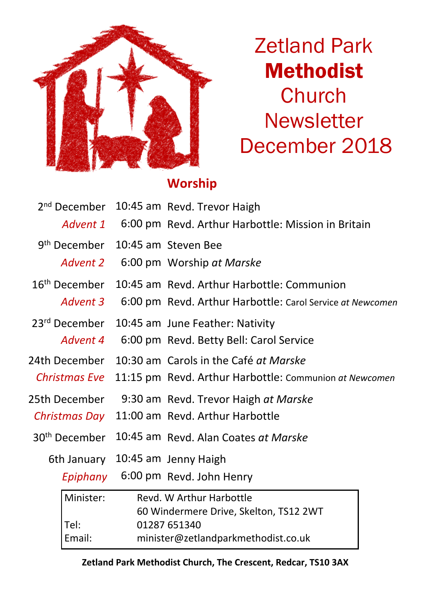

# Zetland Park Methodist **Church Newsletter** December 2018

### **Worship**

| 2 <sup>nd</sup> December    |          |                                        | 10:45 am Revd. Trevor Haigh                               |  |  |
|-----------------------------|----------|----------------------------------------|-----------------------------------------------------------|--|--|
| Advent 1                    |          |                                        | 6:00 pm Revd. Arthur Harbottle: Mission in Britain        |  |  |
| 9 <sup>th</sup> December    |          |                                        | 10:45 am Steven Bee                                       |  |  |
|                             | Advent 2 |                                        | 6:00 pm Worship at Marske                                 |  |  |
| 16 <sup>th</sup> December   |          |                                        | 10:45 am Revd. Arthur Harbottle: Communion                |  |  |
| Advent 3                    |          |                                        | 6:00 pm Revd. Arthur Harbottle: Carol Service at Newcomen |  |  |
| 23 <sup>rd</sup> December   |          |                                        | 10:45 am June Feather: Nativity                           |  |  |
| Advent 4                    |          |                                        | 6:00 pm Revd. Betty Bell: Carol Service                   |  |  |
| 24th December               |          |                                        | 10:30 am Carols in the Café at Marske                     |  |  |
| <b>Christmas Eve</b>        |          |                                        | 11:15 pm Revd. Arthur Harbottle: Communion at Newcomen    |  |  |
| 25th December               |          |                                        | 9:30 am Revd. Trevor Haigh at Marske                      |  |  |
| Christmas Day               |          |                                        | 11:00 am Revd. Arthur Harbottle                           |  |  |
| 30 <sup>th</sup> December   |          |                                        | 10:45 am Revd. Alan Coates at Marske                      |  |  |
| 6th January                 |          |                                        | 10:45 am Jenny Haigh                                      |  |  |
|                             | Epiphany |                                        | 6:00 pm Revd. John Henry                                  |  |  |
| Minister:<br>Tel:<br>Email: |          |                                        | Revd. W Arthur Harbottle                                  |  |  |
|                             |          | 60 Windermere Drive, Skelton, TS12 2WT |                                                           |  |  |
|                             |          | 01287 651340                           |                                                           |  |  |
|                             |          | minister@zetlandparkmethodist.co.uk    |                                                           |  |  |

#### **Zetland Park Methodist Church, The Crescent, Redcar, TS10 3AX**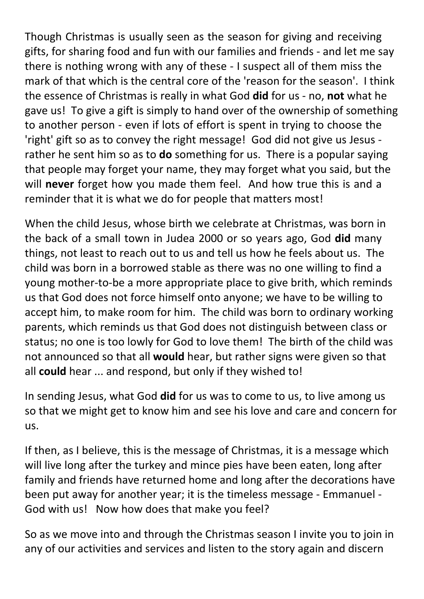Though Christmas is usually seen as the season for giving and receiving gifts, for sharing food and fun with our families and friends - and let me say there is nothing wrong with any of these - I suspect all of them miss the mark of that which is the central core of the 'reason for the season'. I think the essence of Christmas is really in what God **did** for us - no, **not** what he gave us! To give a gift is simply to hand over of the ownership of something to another person - even if lots of effort is spent in trying to choose the 'right' gift so as to convey the right message! God did not give us Jesus rather he sent him so as to **do** something for us. There is a popular saying that people may forget your name, they may forget what you said, but the will **never** forget how you made them feel. And how true this is and a reminder that it is what we do for people that matters most!

When the child Jesus, whose birth we celebrate at Christmas, was born in the back of a small town in Judea 2000 or so years ago, God **did** many things, not least to reach out to us and tell us how he feels about us. The child was born in a borrowed stable as there was no one willing to find a young mother-to-be a more appropriate place to give brith, which reminds us that God does not force himself onto anyone; we have to be willing to accept him, to make room for him. The child was born to ordinary working parents, which reminds us that God does not distinguish between class or status; no one is too lowly for God to love them! The birth of the child was not announced so that all **would** hear, but rather signs were given so that all **could** hear ... and respond, but only if they wished to!

In sending Jesus, what God **did** for us was to come to us, to live among us so that we might get to know him and see his love and care and concern for us.

If then, as I believe, this is the message of Christmas, it is a message which will live long after the turkey and mince pies have been eaten, long after family and friends have returned home and long after the decorations have been put away for another year; it is the timeless message - Emmanuel - God with us! Now how does that make you feel?

So as we move into and through the Christmas season I invite you to join in any of our activities and services and listen to the story again and discern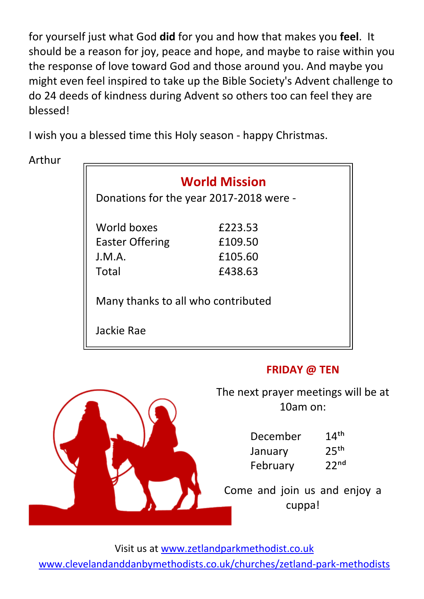for yourself just what God **did** for you and how that makes you **feel**. It should be a reason for joy, peace and hope, and maybe to raise within you the response of love toward God and those around you. And maybe you might even feel inspired to take up the Bible Society's Advent challenge to do 24 deeds of kindness during Advent so others too can feel they are blessed!

I wish you a blessed time this Holy season - happy Christmas.

Arthur

| <b>World Mission</b><br>Donations for the year 2017-2018 were - |                                          |  |  |  |  |  |
|-----------------------------------------------------------------|------------------------------------------|--|--|--|--|--|
| World boxes<br><b>Easter Offering</b><br>J.M.A.<br>Total        | £223.53<br>£109.50<br>£105.60<br>£438.63 |  |  |  |  |  |
| Many thanks to all who contributed<br>Jackie Rae                |                                          |  |  |  |  |  |
|                                                                 |                                          |  |  |  |  |  |

### **FRIDAY @ TEN**



The next prayer meetings will be at  $10$ am on:

| December | 14 <sup>th</sup> |
|----------|------------------|
| January  | 25 <sup>th</sup> |
| February | 22 <sup>nd</sup> |

Come and join us and enjoy a cuppa!

Visit us at www.zetlandparkmethodist.co.uk www.clevelandanddanbymethodists.co.uk/churches/zetland-park-methodists